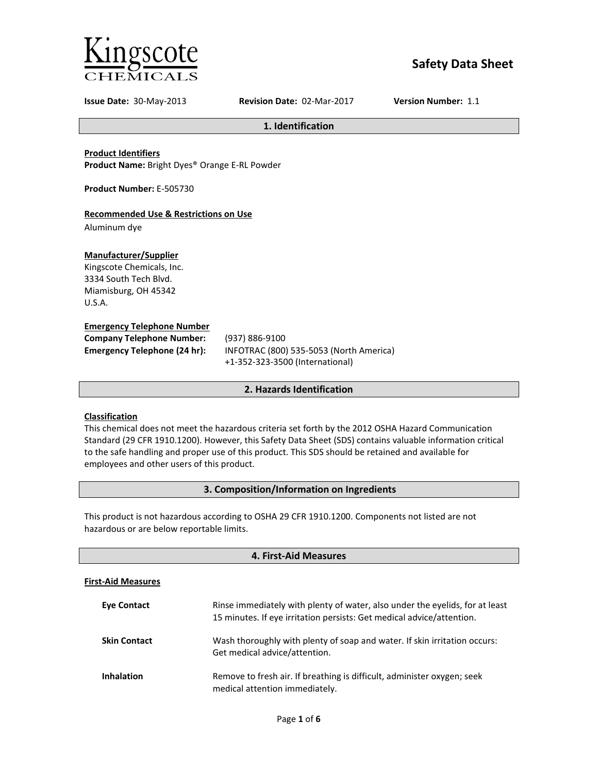

# **Safety Data Sheet**

**Issue Date:** 30-May-2013 **Revision Date:** 02-Mar-2017 **Version Number:** 1.1

**1. Identification**

**Product Identifiers**

**Product Name:** Bright Dyes® Orange E-RL Powder

**Product Number:** E-505730

## **Recommended Use & Restrictions on Use**

Aluminum dye

## **Manufacturer/Supplier**

Kingscote Chemicals, Inc. 3334 South Tech Blvd. Miamisburg, OH 45342 U.S.A.

## **Emergency Telephone Number**

| <b>Company Telephone Number:</b>    | (93)       |
|-------------------------------------|------------|
| <b>Emergency Telephone (24 hr):</b> | <b>INF</b> |
|                                     |            |

**Company Telephone Number:** (937) 886-9100 **Emergency Telephone (24 hr):** INFOTRAC (800) 535-5053 (North America) +1-352-323-3500 (International)

## **2. Hazards Identification**

## **Classification**

This chemical does not meet the hazardous criteria set forth by the 2012 OSHA Hazard Communication Standard (29 CFR 1910.1200). However, this Safety Data Sheet (SDS) contains valuable information critical to the safe handling and proper use of this product. This SDS should be retained and available for employees and other users of this product.

## **3. Composition/Information on Ingredients**

This product is not hazardous according to OSHA 29 CFR 1910.1200. Components not listed are not hazardous or are below reportable limits.

| 4. First-Aid Measures     |                                                                                                                                                       |  |
|---------------------------|-------------------------------------------------------------------------------------------------------------------------------------------------------|--|
| <b>First-Aid Measures</b> |                                                                                                                                                       |  |
| <b>Eve Contact</b>        | Rinse immediately with plenty of water, also under the eyelids, for at least<br>15 minutes. If eye irritation persists: Get medical advice/attention. |  |
| <b>Skin Contact</b>       | Wash thoroughly with plenty of soap and water. If skin irritation occurs:<br>Get medical advice/attention.                                            |  |
| <b>Inhalation</b>         | Remove to fresh air. If breathing is difficult, administer oxygen; seek<br>medical attention immediately.                                             |  |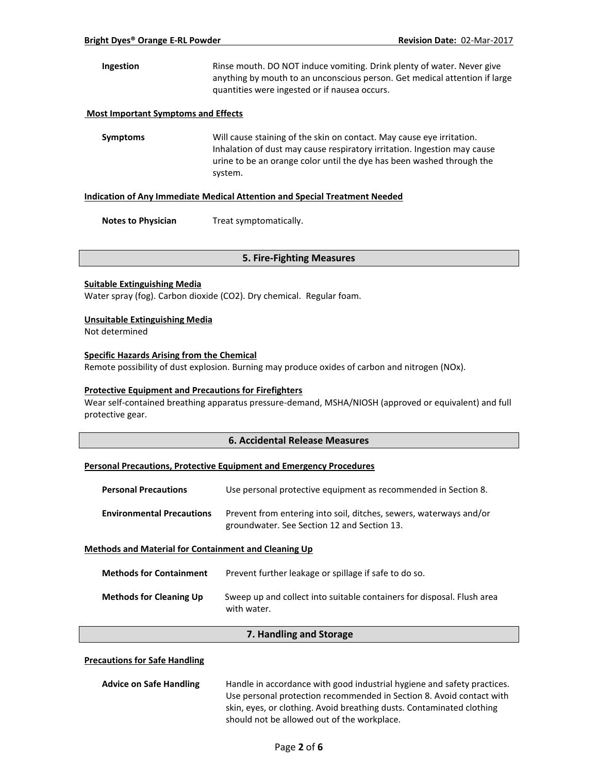**Ingestion** Rinse mouth. DO NOT induce vomiting. Drink plenty of water. Never give anything by mouth to an unconscious person. Get medical attention if large quantities were ingested or if nausea occurs.

## **Most Important Symptoms and Effects**

**Symptoms** Will cause staining of the skin on contact. May cause eye irritation. Inhalation of dust may cause respiratory irritation. Ingestion may cause urine to be an orange color until the dye has been washed through the system.

#### **Indication of Any Immediate Medical Attention and Special Treatment Needed**

**Notes to Physician** Treat symptomatically.

### **5. Fire-Fighting Measures**

### **Suitable Extinguishing Media**

Water spray (fog). Carbon dioxide (CO2). Dry chemical. Regular foam.

### **Unsuitable Extinguishing Media**

Not determined

## **Specific Hazards Arising from the Chemical**

Remote possibility of dust explosion. Burning may produce oxides of carbon and nitrogen (NOx).

## **Protective Equipment and Precautions for Firefighters**

Wear self-contained breathing apparatus pressure-demand, MSHA/NIOSH (approved or equivalent) and full protective gear.

## **6. Accidental Release Measures**

### **Personal Precautions, Protective Equipment and Emergency Procedures**

| <b>Personal Precautions</b>                                 | Use personal protective equipment as recommended in Section 8.                                                    |  |
|-------------------------------------------------------------|-------------------------------------------------------------------------------------------------------------------|--|
| <b>Environmental Precautions</b>                            | Prevent from entering into soil, ditches, sewers, waterways and/or<br>groundwater. See Section 12 and Section 13. |  |
| <b>Methods and Material for Containment and Cleaning Up</b> |                                                                                                                   |  |

| <b>Methods for Containment</b> | Prevent further leakage or spillage if safe to do so.                                 |
|--------------------------------|---------------------------------------------------------------------------------------|
| <b>Methods for Cleaning Up</b> | Sweep up and collect into suitable containers for disposal. Flush area<br>with water. |

### **7. Handling and Storage**

## **Precautions for Safe Handling**

| <b>Advice on Safe Handling</b> | Handle in accordance with good industrial hygiene and safety practices. |  |
|--------------------------------|-------------------------------------------------------------------------|--|
|                                | Use personal protection recommended in Section 8. Avoid contact with    |  |
|                                | skin, eyes, or clothing. Avoid breathing dusts. Contaminated clothing   |  |
|                                | should not be allowed out of the workplace.                             |  |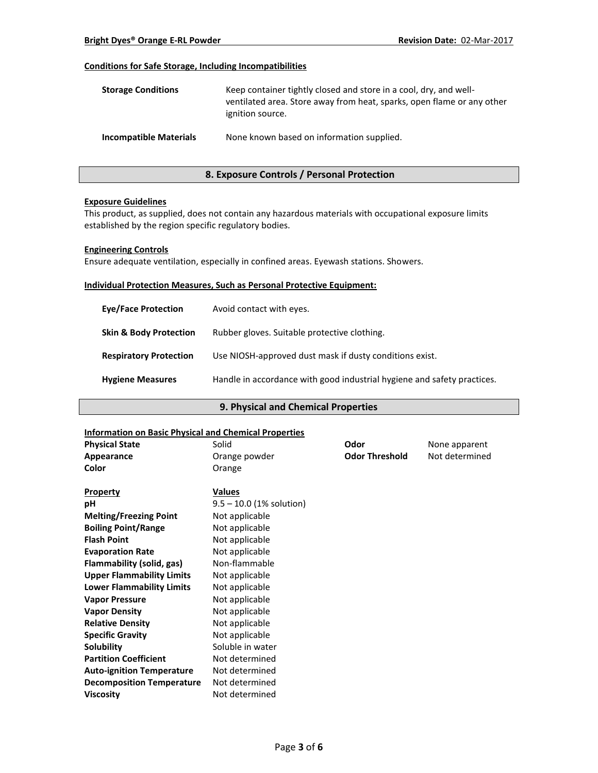## **Conditions for Safe Storage, Including Incompatibilities**

| <b>Storage Conditions</b>     | Keep container tightly closed and store in a cool, dry, and well-<br>ventilated area. Store away from heat, sparks, open flame or any other<br>ignition source. |
|-------------------------------|-----------------------------------------------------------------------------------------------------------------------------------------------------------------|
| <b>Incompatible Materials</b> | None known based on information supplied.                                                                                                                       |

## **8. Exposure Controls / Personal Protection**

### **Exposure Guidelines**

This product, as supplied, does not contain any hazardous materials with occupational exposure limits established by the region specific regulatory bodies.

### **Engineering Controls**

Ensure adequate ventilation, especially in confined areas. Eyewash stations. Showers.

### **Individual Protection Measures, Such as Personal Protective Equipment:**

| <b>Eve/Face Protection</b>        | Avoid contact with eyes.                                                |
|-----------------------------------|-------------------------------------------------------------------------|
| <b>Skin &amp; Body Protection</b> | Rubber gloves. Suitable protective clothing.                            |
| <b>Respiratory Protection</b>     | Use NIOSH-approved dust mask if dusty conditions exist.                 |
| <b>Hygiene Measures</b>           | Handle in accordance with good industrial hygiene and safety practices. |

## **9. Physical and Chemical Properties**

### **Information on Basic Physical and Chemical Properties**

| <b>Physical State</b>            | Solid                      | Odor                  | None apparent  |  |
|----------------------------------|----------------------------|-----------------------|----------------|--|
| Appearance                       | Orange powder              | <b>Odor Threshold</b> | Not determined |  |
| Color                            | Orange                     |                       |                |  |
| <b>Property</b>                  | <b>Values</b>              |                       |                |  |
| рH                               | $9.5 - 10.0$ (1% solution) |                       |                |  |
| <b>Melting/Freezing Point</b>    | Not applicable             |                       |                |  |
| <b>Boiling Point/Range</b>       | Not applicable             |                       |                |  |
| <b>Flash Point</b>               | Not applicable             |                       |                |  |
| <b>Evaporation Rate</b>          | Not applicable             |                       |                |  |
| <b>Flammability (solid, gas)</b> | Non-flammable              |                       |                |  |
| <b>Upper Flammability Limits</b> | Not applicable             |                       |                |  |
| <b>Lower Flammability Limits</b> | Not applicable             |                       |                |  |
| <b>Vapor Pressure</b>            | Not applicable             |                       |                |  |
| <b>Vapor Density</b>             | Not applicable             |                       |                |  |
| <b>Relative Density</b>          | Not applicable             |                       |                |  |
| <b>Specific Gravity</b>          | Not applicable             |                       |                |  |
| Solubility                       | Soluble in water           |                       |                |  |
| <b>Partition Coefficient</b>     | Not determined             |                       |                |  |
| <b>Auto-ignition Temperature</b> | Not determined             |                       |                |  |
| <b>Decomposition Temperature</b> | Not determined             |                       |                |  |
| <b>Viscosity</b>                 | Not determined             |                       |                |  |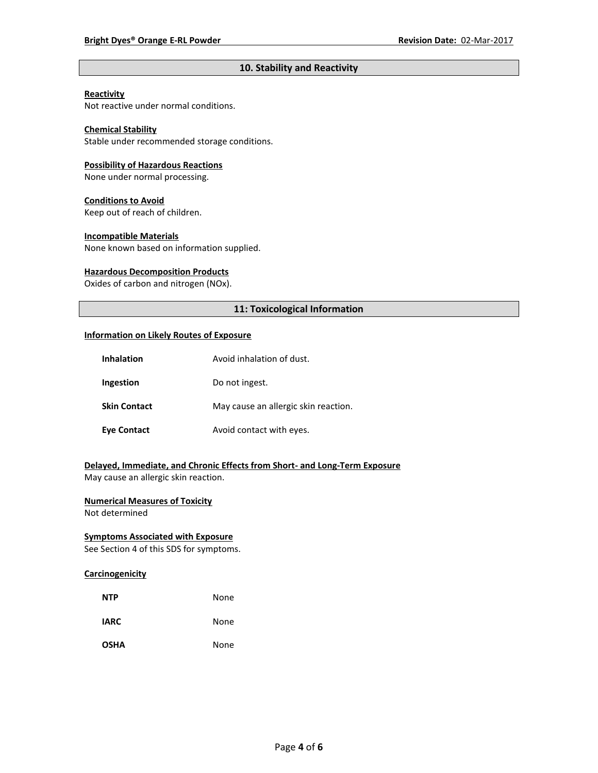## **10. Stability and Reactivity**

## **Reactivity**

Not reactive under normal conditions.

## **Chemical Stability**

Stable under recommended storage conditions.

#### **Possibility of Hazardous Reactions**

None under normal processing.

#### **Conditions to Avoid**

Keep out of reach of children.

#### **Incompatible Materials**

None known based on information supplied.

#### **Hazardous Decomposition Products**

Oxides of carbon and nitrogen (NOx).

## **11: Toxicological Information**

#### **Information on Likely Routes of Exposure**

| <b>Inhalation</b>   | Avoid inhalation of dust.            |
|---------------------|--------------------------------------|
| Ingestion           | Do not ingest.                       |
| <b>Skin Contact</b> | May cause an allergic skin reaction. |
| <b>Eve Contact</b>  | Avoid contact with eyes.             |

## **Delayed, Immediate, and Chronic Effects from Short- and Long-Term Exposure**

May cause an allergic skin reaction.

## **Numerical Measures of Toxicity**

Not determined

## **Symptoms Associated with Exposure**

See Section 4 of this SDS for symptoms.

## **Carcinogenicity**

| <b>NTP</b>  | None |
|-------------|------|
| <b>IARC</b> | None |
| <b>OSHA</b> | None |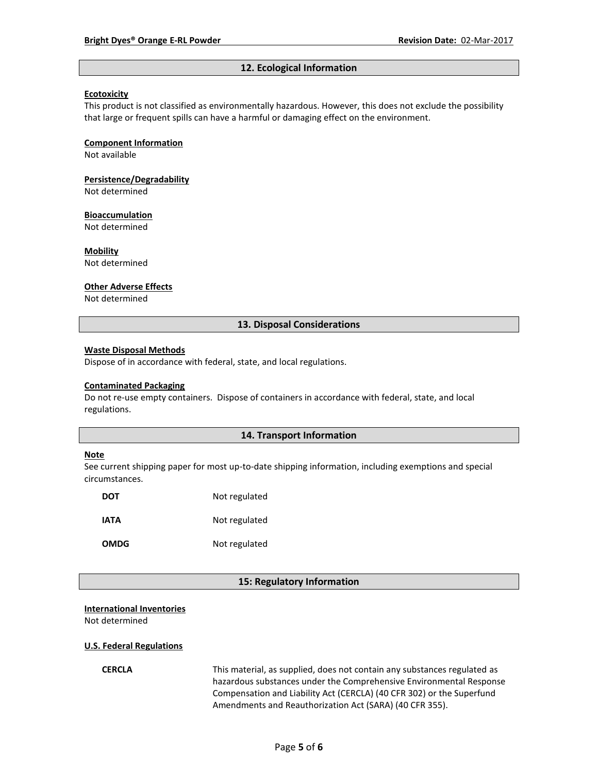#### **12. Ecological Information**

#### **Ecotoxicity**

This product is not classified as environmentally hazardous. However, this does not exclude the possibility that large or frequent spills can have a harmful or damaging effect on the environment.

#### **Component Information**

Not available

# **Persistence/Degradability**

Not determined

#### **Bioaccumulation**

Not determined

#### **Mobility**

Not determined

#### **Other Adverse Effects**

Not determined

### **13. Disposal Considerations**

#### **Waste Disposal Methods**

Dispose of in accordance with federal, state, and local regulations.

#### **Contaminated Packaging**

Do not re-use empty containers.Dispose of containers in accordance with federal, state, and local regulations.

## **14. Transport Information**

#### **Note**

See current shipping paper for most up-to-date shipping information, including exemptions and special circumstances.

| DOT         | Not regulated |
|-------------|---------------|
| IATA        | Not regulated |
| <b>OMDG</b> | Not regulated |

#### **15: Regulatory Information**

#### **International Inventories**

Not determined

#### **U.S. Federal Regulations**

**CERCLA** This material, as supplied, does not contain any substances regulated as hazardous substances under the Comprehensive Environmental Response Compensation and Liability Act (CERCLA) (40 CFR 302) or the Superfund Amendments and Reauthorization Act (SARA) (40 CFR 355).